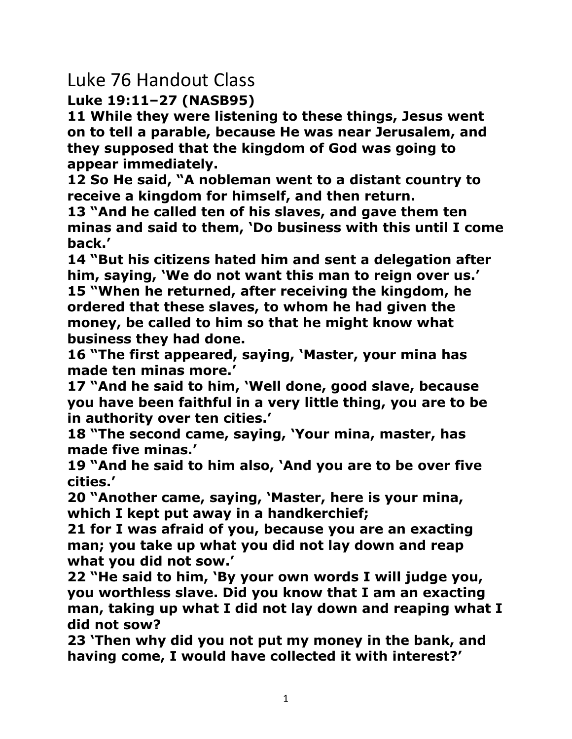## Luke 76 Handout Class

**Luke 19:11–27 (NASB95)**

**11 While they were listening to these things, Jesus went on to tell a parable, because He was near Jerusalem, and they supposed that the kingdom of God was going to appear immediately.** 

**12 So He said, "A nobleman went to a distant country to receive a kingdom for himself, and then return.** 

**13 "And he called ten of his slaves, and gave them ten minas and said to them, 'Do business with this until I come back.'** 

**14 "But his citizens hated him and sent a delegation after him, saying, 'We do not want this man to reign over us.' 15 "When he returned, after receiving the kingdom, he ordered that these slaves, to whom he had given the money, be called to him so that he might know what business they had done.** 

**16 "The first appeared, saying, 'Master, your mina has made ten minas more.'** 

**17 "And he said to him, 'Well done, good slave, because you have been faithful in a very little thing, you are to be in authority over ten cities.'** 

**18 "The second came, saying, 'Your mina, master, has made five minas.'** 

**19 "And he said to him also, 'And you are to be over five cities.'** 

**20 "Another came, saying, 'Master, here is your mina, which I kept put away in a handkerchief;** 

**21 for I was afraid of you, because you are an exacting man; you take up what you did not lay down and reap what you did not sow.'** 

**22 "He said to him, 'By your own words I will judge you, you worthless slave. Did you know that I am an exacting man, taking up what I did not lay down and reaping what I did not sow?** 

**23 'Then why did you not put my money in the bank, and having come, I would have collected it with interest?'**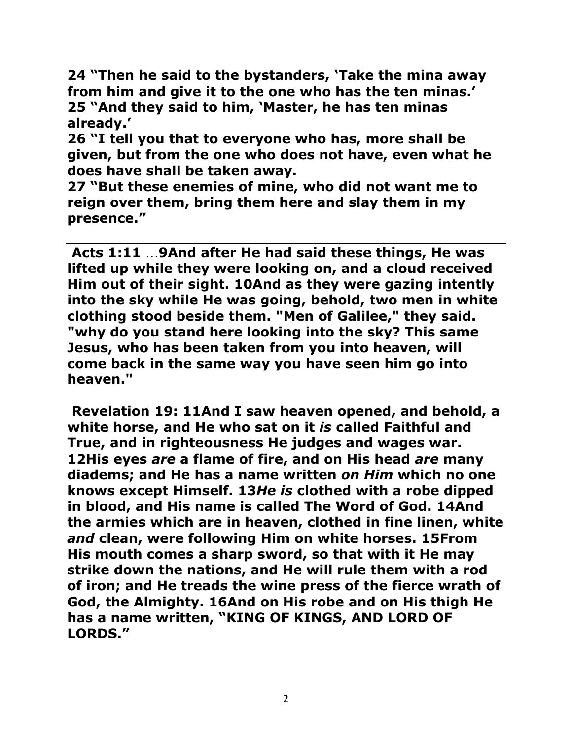**24 "Then he said to the bystanders, 'Take the mina away from him and give it to the one who has the ten minas.' 25 "And they said to him, 'Master, he has ten minas already.'** 

**26 "I tell you that to everyone who has, more shall be given, but from the one who does not have, even what he does have shall be taken away.** 

**27 "But these enemies of mine, who did not want me to reign over them, bring them here and slay them in my presence."** 

**Acts 1:11** …**[9A](http://biblehub.com/acts/1-9.htm)nd after He had said these things, He was lifted up while they were looking on, and a cloud received Him out of their sight. [10A](http://biblehub.com/acts/1-10.htm)nd as they were gazing intently into the sky while He was going, behold, two men in white clothing stood beside them. "Men of Galilee," they said. "why do you stand here looking into the sky? This same Jesus, who has been taken from you into heaven, will come back in the same way you have seen him go into heaven."**

**Revelation 19: [11A](http://biblehub.com/revelation/19-11.htm)nd I saw heaven opened, and behold, a white horse, and He who sat on it** *is* **called Faithful and True, and in righteousness He judges and wages war. [12H](http://biblehub.com/revelation/19-12.htm)is eyes** *are* **a flame of fire, and on His head** *are* **many diadems; and He has a name written** *on Him* **which no one knows except Himself. [13](http://biblehub.com/revelation/19-13.htm)***He is* **clothed with a robe dipped in blood, and His name is called The Word of God. [14A](http://biblehub.com/revelation/19-14.htm)nd the armies which are in heaven, clothed in fine linen, white**  *and* **clean, were following Him on white horses. [15F](http://biblehub.com/revelation/19-15.htm)rom His mouth comes a sharp sword, so that with it He may strike down the nations, and He will rule them with a rod of iron; and He treads the wine press of the fierce wrath of God, the Almighty. [16A](http://biblehub.com/revelation/19-16.htm)nd on His robe and on His thigh He has a name written, "KING OF KINGS, AND LORD OF LORDS."**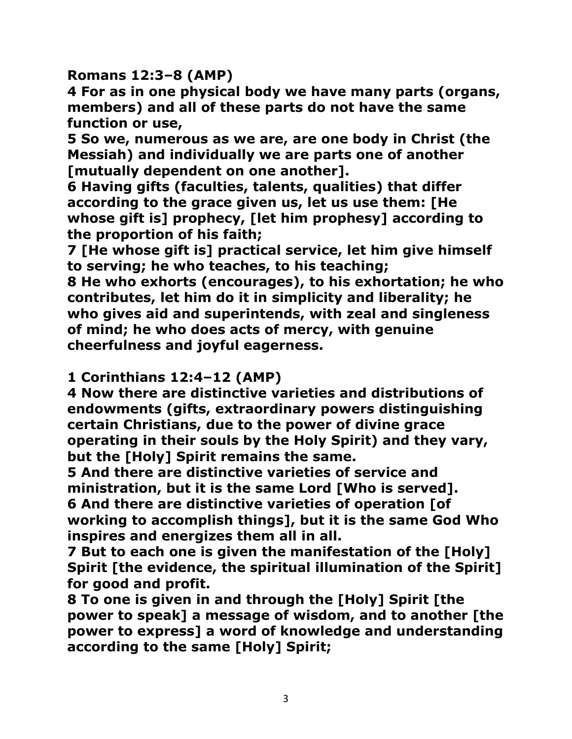**Romans 12:3–8 (AMP)**

**4 For as in one physical body we have many parts (organs, members) and all of these parts do not have the same function or use,** 

**5 So we, numerous as we are, are one body in Christ (the Messiah) and individually we are parts one of another [mutually dependent on one another].** 

**6 Having gifts (faculties, talents, qualities) that differ according to the grace given us, let us use them: [He whose gift is] prophecy, [let him prophesy] according to the proportion of his faith;** 

**7 [He whose gift is] practical service, let him give himself to serving; he who teaches, to his teaching;** 

**8 He who exhorts (encourages), to his exhortation; he who contributes, let him do it in simplicity and liberality; he who gives aid and superintends, with zeal and singleness of mind; he who does acts of mercy, with genuine cheerfulness and joyful eagerness.** 

## **1 Corinthians 12:4–12 (AMP)**

**4 Now there are distinctive varieties and distributions of endowments (gifts, extraordinary powers distinguishing certain Christians, due to the power of divine grace operating in their souls by the Holy Spirit) and they vary, but the [Holy] Spirit remains the same.** 

**5 And there are distinctive varieties of service and ministration, but it is the same Lord [Who is served]. 6 And there are distinctive varieties of operation [of working to accomplish things], but it is the same God Who inspires and energizes them all in all.** 

**7 But to each one is given the manifestation of the [Holy] Spirit [the evidence, the spiritual illumination of the Spirit] for good and profit.** 

**8 To one is given in and through the [Holy] Spirit [the power to speak] a message of wisdom, and to another [the power to express] a word of knowledge and understanding according to the same [Holy] Spirit;**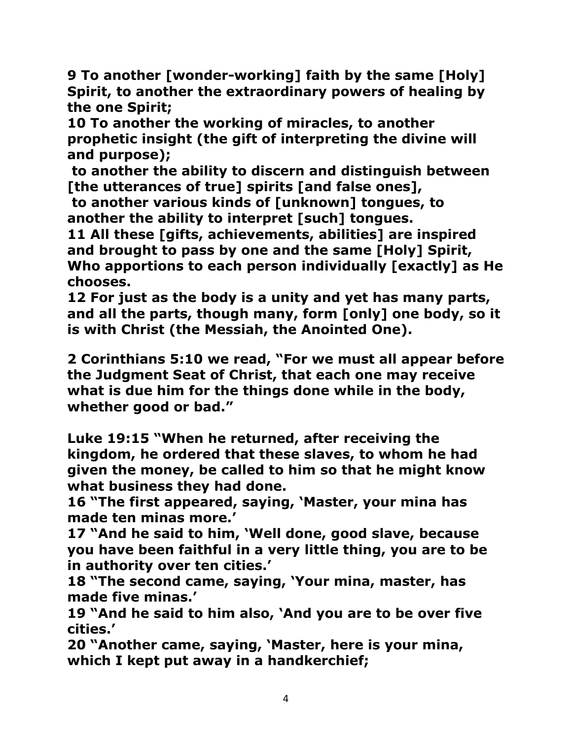**9 To another [wonder-working] faith by the same [Holy] Spirit, to another the extraordinary powers of healing by the one Spirit;** 

**10 To another the working of miracles, to another prophetic insight (the gift of interpreting the divine will and purpose);**

**to another the ability to discern and distinguish between [the utterances of true] spirits [and false ones],** 

**to another various kinds of [unknown] tongues, to another the ability to interpret [such] tongues.** 

**11 All these [gifts, achievements, abilities] are inspired and brought to pass by one and the same [Holy] Spirit, Who apportions to each person individually [exactly] as He chooses.** 

**12 For just as the body is a unity and yet has many parts, and all the parts, though many, form [only] one body, so it is with Christ (the Messiah, the Anointed One).** 

**[2 Corinthians 5:10](http://www.sermoncentral.com/bible/NIV/II-Corinthians%205.asp?passage=II%20Corinthians%205%3A10&ScrptureHover=sermon-56581-Use%20It%20or%20Lose%20It!) we read, "For we must all appear before the Judgment Seat of Christ, that each one may receive what is due him for the things done while in the body, whether good or bad."**

**Luke 19:15 "When he returned, after receiving the kingdom, he ordered that these slaves, to whom he had given the money, be called to him so that he might know what business they had done.** 

**16 "The first appeared, saying, 'Master, your mina has made ten minas more.'** 

**17 "And he said to him, 'Well done, good slave, because you have been faithful in a very little thing, you are to be in authority over ten cities.'** 

**18 "The second came, saying, 'Your mina, master, has made five minas.'** 

**19 "And he said to him also, 'And you are to be over five cities.'** 

**20 "Another came, saying, 'Master, here is your mina, which I kept put away in a handkerchief;**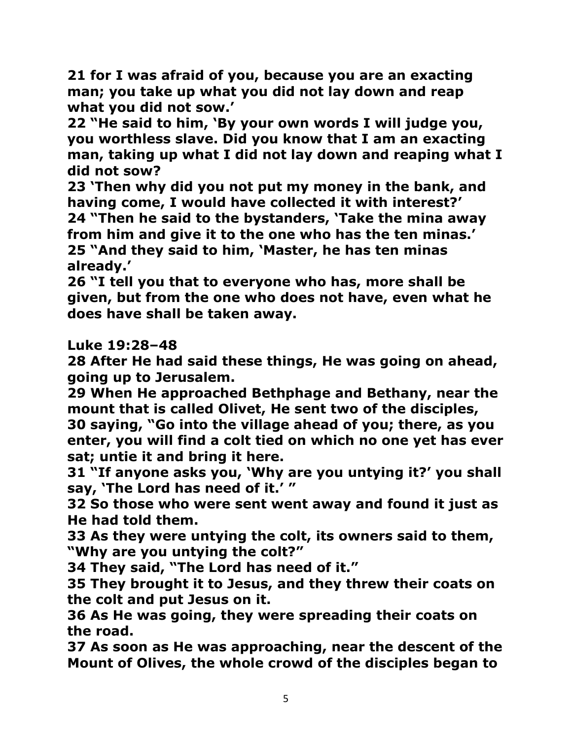**21 for I was afraid of you, because you are an exacting man; you take up what you did not lay down and reap what you did not sow.'** 

**22 "He said to him, 'By your own words I will judge you, you worthless slave. Did you know that I am an exacting man, taking up what I did not lay down and reaping what I did not sow?** 

**23 'Then why did you not put my money in the bank, and having come, I would have collected it with interest?' 24 "Then he said to the bystanders, 'Take the mina away from him and give it to the one who has the ten minas.' 25 "And they said to him, 'Master, he has ten minas already.'** 

**26 "I tell you that to everyone who has, more shall be given, but from the one who does not have, even what he does have shall be taken away.** 

**Luke 19:28–48** 

**28 After He had said these things, He was going on ahead, going up to Jerusalem.** 

**29 When He approached Bethphage and Bethany, near the mount that is called Olivet, He sent two of the disciples, 30 saying, "Go into the village ahead of you; there, as you enter, you will find a colt tied on which no one yet has ever sat; untie it and bring it here.** 

**31 "If anyone asks you, 'Why are you untying it?' you shall say, 'The Lord has need of it.' "** 

**32 So those who were sent went away and found it just as He had told them.** 

**33 As they were untying the colt, its owners said to them, "Why are you untying the colt?"** 

**34 They said, "The Lord has need of it."** 

**35 They brought it to Jesus, and they threw their coats on the colt and put Jesus on it.** 

**36 As He was going, they were spreading their coats on the road.** 

**37 As soon as He was approaching, near the descent of the Mount of Olives, the whole crowd of the disciples began to**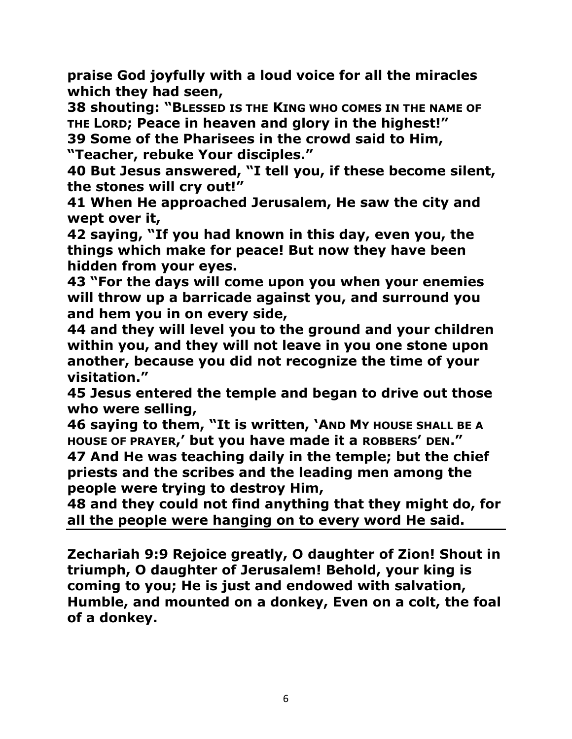**praise God joyfully with a loud voice for all the miracles which they had seen,** 

**38 shouting: "BLESSED IS THE KING WHO COMES IN THE NAME OF THE LORD; Peace in heaven and glory in the highest!" 39 Some of the Pharisees in the crowd said to Him, "Teacher, rebuke Your disciples."** 

**40 But Jesus answered, "I tell you, if these become silent, the stones will cry out!"** 

**41 When He approached Jerusalem, He saw the city and wept over it,** 

**42 saying, "If you had known in this day, even you, the things which make for peace! But now they have been hidden from your eyes.** 

**43 "For the days will come upon you when your enemies will throw up a barricade against you, and surround you and hem you in on every side,** 

**44 and they will level you to the ground and your children within you, and they will not leave in you one stone upon another, because you did not recognize the time of your visitation."** 

**45 Jesus entered the temple and began to drive out those who were selling,** 

**46 saying to them, "It is written, 'AND MY HOUSE SHALL BE A HOUSE OF PRAYER,' but you have made it a ROBBERS' DEN."** 

**47 And He was teaching daily in the temple; but the chief priests and the scribes and the leading men among the people were trying to destroy Him,** 

**48 and they could not find anything that they might do, for all the people were hanging on to every word He said.** 

**Zechariah 9[:9](http://biblehub.com/zechariah/9-9.htm) Rejoice greatly, O daughter of Zion! Shout in triumph, O daughter of Jerusalem! Behold, your king is coming to you; He is just and endowed with salvation, Humble, and mounted on a donkey, Even on a colt, the foal of a donkey.**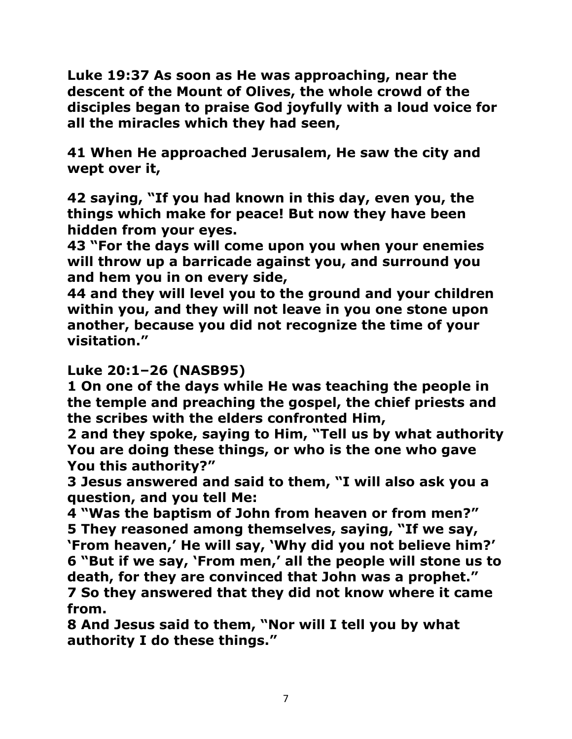**Luke 19:37 As soon as He was approaching, near the descent of the Mount of Olives, the whole crowd of the disciples began to praise God joyfully with a loud voice for all the miracles which they had seen,** 

**41 When He approached Jerusalem, He saw the city and wept over it,** 

**42 saying, "If you had known in this day, even you, the things which make for peace! But now they have been hidden from your eyes.** 

**43 "For the days will come upon you when your enemies will throw up a barricade against you, and surround you and hem you in on every side,** 

**44 and they will level you to the ground and your children within you, and they will not leave in you one stone upon another, because you did not recognize the time of your visitation."** 

## **Luke 20:1–26 (NASB95)**

**1 On one of the days while He was teaching the people in the temple and preaching the gospel, the chief priests and the scribes with the elders confronted Him,** 

**2 and they spoke, saying to Him, "Tell us by what authority You are doing these things, or who is the one who gave You this authority?"** 

**3 Jesus answered and said to them, "I will also ask you a question, and you tell Me:** 

**4 "Was the baptism of John from heaven or from men?" 5 They reasoned among themselves, saying, "If we say, 'From heaven,' He will say, 'Why did you not believe him?' 6 "But if we say, 'From men,' all the people will stone us to death, for they are convinced that John was a prophet." 7 So they answered that they did not know where it came from.** 

**8 And Jesus said to them, "Nor will I tell you by what authority I do these things."**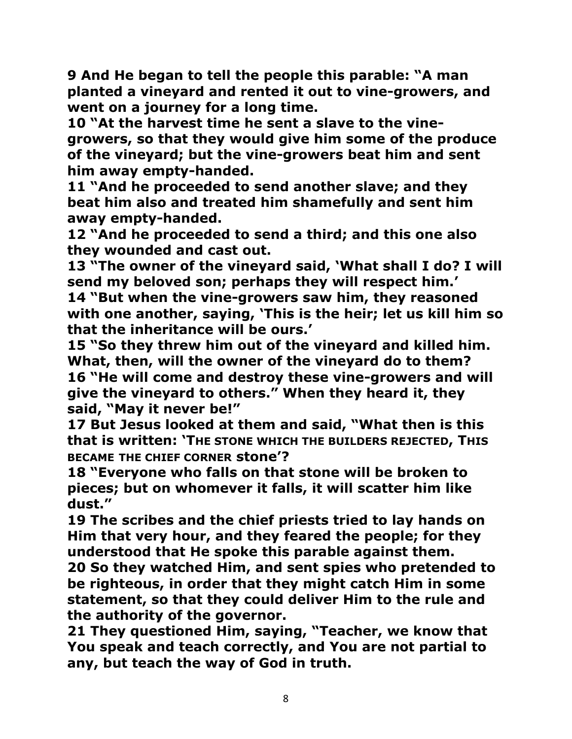**9 And He began to tell the people this parable: "A man planted a vineyard and rented it out to vine-growers, and went on a journey for a long time.** 

**10 "At the harvest time he sent a slave to the vinegrowers, so that they would give him some of the produce of the vineyard; but the vine-growers beat him and sent him away empty-handed.** 

**11 "And he proceeded to send another slave; and they beat him also and treated him shamefully and sent him away empty-handed.** 

**12 "And he proceeded to send a third; and this one also they wounded and cast out.** 

**13 "The owner of the vineyard said, 'What shall I do? I will send my beloved son; perhaps they will respect him.'** 

**14 "But when the vine-growers saw him, they reasoned with one another, saying, 'This is the heir; let us kill him so that the inheritance will be ours.'** 

**15 "So they threw him out of the vineyard and killed him. What, then, will the owner of the vineyard do to them? 16 "He will come and destroy these vine-growers and will give the vineyard to others." When they heard it, they said, "May it never be!"** 

**17 But Jesus looked at them and said, "What then is this that is written: 'THE STONE WHICH THE BUILDERS REJECTED, THIS BECAME THE CHIEF CORNER stone'?** 

**18 "Everyone who falls on that stone will be broken to pieces; but on whomever it falls, it will scatter him like dust."** 

**19 The scribes and the chief priests tried to lay hands on Him that very hour, and they feared the people; for they understood that He spoke this parable against them.** 

**20 So they watched Him, and sent spies who pretended to be righteous, in order that they might catch Him in some statement, so that they could deliver Him to the rule and the authority of the governor.** 

**21 They questioned Him, saying, "Teacher, we know that You speak and teach correctly, and You are not partial to any, but teach the way of God in truth.**